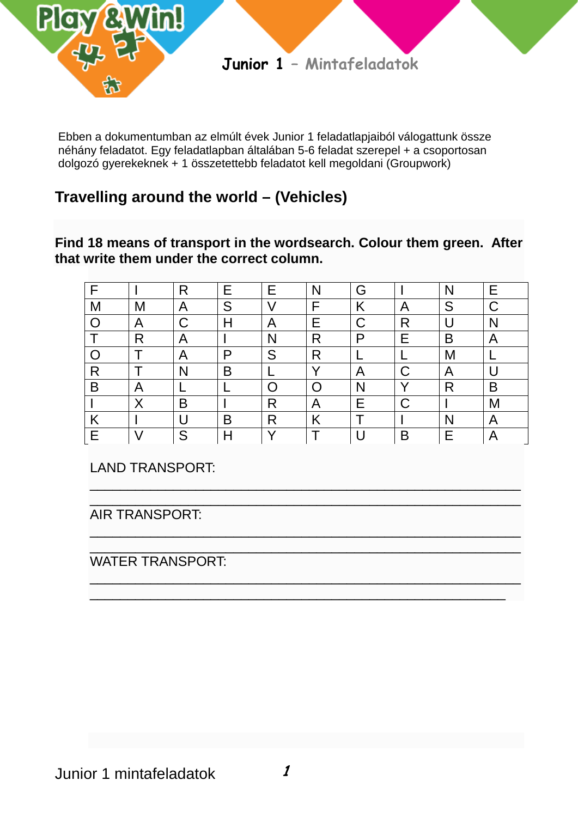

Ebben a dokumentumban az elmúlt évek Junior 1 feladatlapjaiból válogattunk össze néhány feladatot. Egy feladatlapban általában 5-6 feladat szerepel + a csoportosan dolgozó gyerekeknek + 1 összetettebb feladatot kell megoldani (Groupwork)

# **Travelling around the world – (Vehicles)**

**Find 18 means of transport in the wordsearch. Colour them green. After that write them under the correct column.**

| F |              | R | Е | Е  | N            | G |              | Ν | Е |
|---|--------------|---|---|----|--------------|---|--------------|---|---|
| M | Μ            | Α | S | V  | F            | Κ | A            | S | С |
| O | A            | С | H | Α  | Е            | С | R            |   | N |
|   | R            | A |   | N  | R            | P | Е            | B | A |
|   |              | Α | P | S  | R            |   |              | Μ |   |
| R |              | N | B |    | $\checkmark$ | A | С            | A |   |
| B | A            |   |   |    |              | N | $\checkmark$ | R | B |
|   | $\checkmark$ | B |   | R  | A            | Е | С            |   | Μ |
| Κ |              |   | B | R  | Κ            |   |              | N | A |
| F | $\prime$     | S | H | \/ |              |   | B            | E | A |

\_\_\_\_\_\_\_\_\_\_\_\_\_\_\_\_\_\_\_\_\_\_\_\_\_\_\_\_\_\_\_\_\_\_\_\_\_\_\_\_\_\_\_\_\_\_\_\_\_\_\_\_\_\_\_\_\_

\_\_\_\_\_\_\_\_\_\_\_\_\_\_\_\_\_\_\_\_\_\_\_\_\_\_\_\_\_\_\_\_\_\_\_\_\_\_\_\_\_\_\_\_\_\_\_\_\_\_\_\_\_\_\_\_\_

\_\_\_\_\_\_\_\_\_\_\_\_\_\_\_\_\_\_\_\_\_\_\_\_\_\_\_\_\_\_\_\_\_\_\_\_\_\_\_\_\_\_\_\_\_\_\_\_\_\_\_\_\_\_\_\_\_ \_\_\_\_\_\_\_\_\_\_\_\_\_\_\_\_\_\_\_\_\_\_\_\_\_\_\_\_\_\_\_\_\_\_\_\_\_\_\_\_\_\_\_\_\_\_\_\_\_\_\_\_\_\_\_

LAND TRANSPORT:

\_\_\_\_\_\_\_\_\_\_\_\_\_\_\_\_\_\_\_\_\_\_\_\_\_\_\_\_\_\_\_\_\_\_\_\_\_\_\_\_\_\_\_\_\_\_\_\_\_\_\_\_\_\_\_\_\_ AIR TRANSPORT:

\_\_\_\_\_\_\_\_\_\_\_\_\_\_\_\_\_\_\_\_\_\_\_\_\_\_\_\_\_\_\_\_\_\_\_\_\_\_\_\_\_\_\_\_\_\_\_\_\_\_\_\_\_\_\_\_\_ WATER TRANSPORT: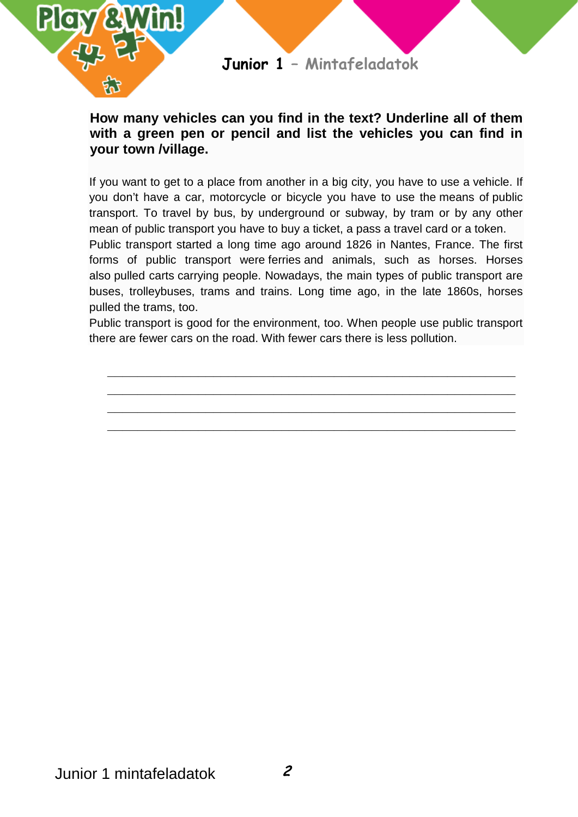

### **How many vehicles can you find in the text? Underline all of them with a green pen or pencil and list the vehicles you can find in your town /village.**

If you want to get to a place from another in a big city, you have to use a vehicle. If you don't have a car, motorcycle or bicycle you have to use the means of public transport. To travel by bus, by underground or subway, by tram or by any other mean of public transport you have to buy a ticket, a pass a travel card or a token.

Public transport started a long time ago around 1826 in Nantes, France. The first forms of public transport were ferries and animals, such as horses. Horses also pulled carts carrying people. Nowadays, the main types of public transport are buses, trolleybuses, trams and trains. Long time ago, in the late 1860s, horses pulled the trams, too.

Public transport is good for the environment, too. When people use public transport there are fewer cars on the road. With fewer cars there is less pollution.

**\_\_\_\_\_\_\_\_\_\_\_\_\_\_\_\_\_\_\_\_\_\_\_\_\_\_\_\_\_\_\_\_\_\_\_\_\_\_\_\_\_\_\_\_\_\_\_\_\_\_\_\_\_\_ \_\_\_\_\_\_\_\_\_\_\_\_\_\_\_\_\_\_\_\_\_\_\_\_\_\_\_\_\_\_\_\_\_\_\_\_\_\_\_\_\_\_\_\_\_\_\_\_\_\_\_\_\_\_ \_\_\_\_\_\_\_\_\_\_\_\_\_\_\_\_\_\_\_\_\_\_\_\_\_\_\_\_\_\_\_\_\_\_\_\_\_\_\_\_\_\_\_\_\_\_\_\_\_\_\_\_\_\_ \_\_\_\_\_\_\_\_\_\_\_\_\_\_\_\_\_\_\_\_\_\_\_\_\_\_\_\_\_\_\_\_\_\_\_\_\_\_\_\_\_\_\_\_\_\_\_\_\_\_\_\_\_\_**

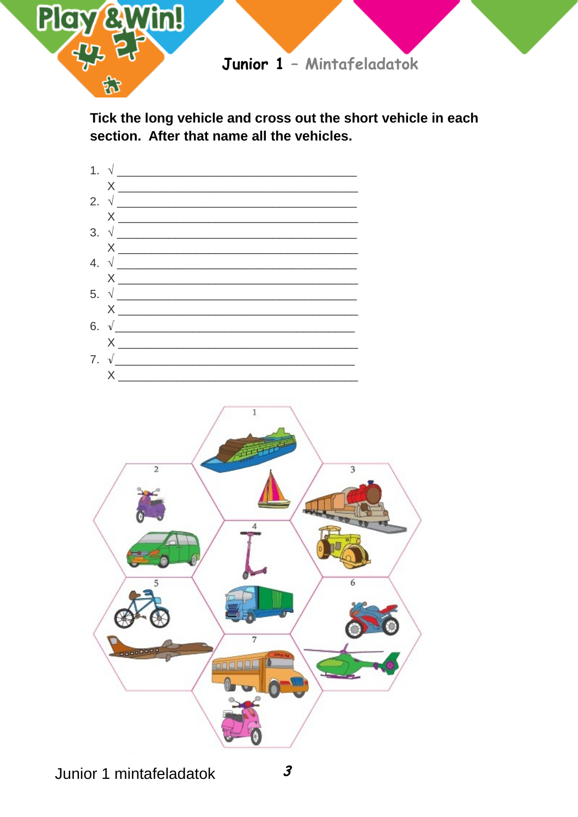

Tick the long vehicle and cross out the short vehicle in each section. After that name all the vehicles.

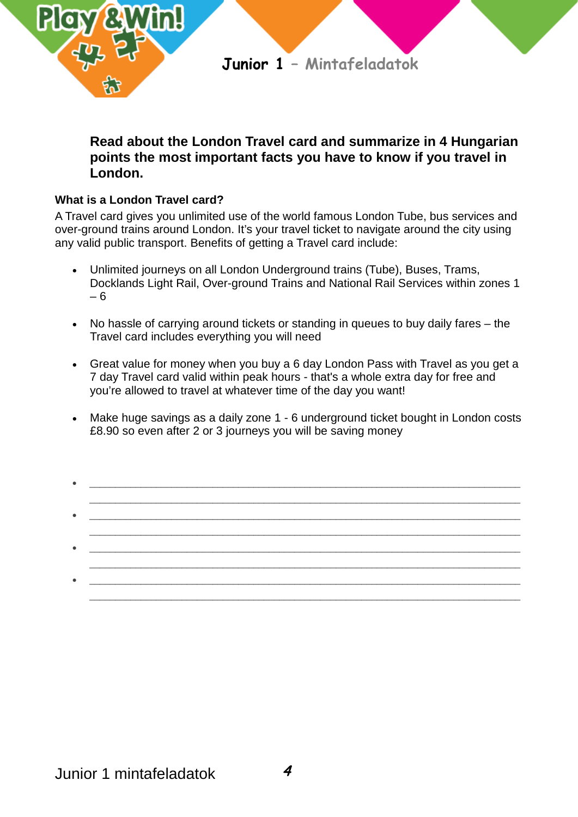

### **Read about the London Travel card and summarize in 4 Hungarian points the most important facts you have to know if you travel in London.**

### **What is a London Travel card?**

A Travel card gives you unlimited use of the world famous London Tube, bus services and over-ground trains around London. It's your travel ticket to navigate around the city using any valid public transport. Benefits of getting a Travel card include:

- Unlimited journeys on all London Underground trains (Tube), Buses, Trams, Docklands Light Rail, Over-ground Trains and National Rail Services within zones 1 – 6
- No hassle of carrying around tickets or standing in queues to buy daily fares the Travel card includes everything you will need
- Great value for money when you buy a 6 day London Pass with Travel as you get a 7 day Travel card valid within peak hours - that's a whole extra day for free and you're allowed to travel at whatever time of the day you want!
- Make huge savings as a daily zone 1 6 underground ticket bought in London costs £8.90 so even after 2 or 3 journeys you will be saving money
- $\bullet$  . The contribution of the contribution of the contribution of the contribution of the contribution of the contribution of the contribution of the contribution of the contribution of the contribution of the contributi \_\_\_\_\_\_\_\_\_\_\_\_\_\_\_\_\_\_\_\_\_\_\_\_\_\_\_\_\_\_\_\_\_\_\_\_\_\_\_\_\_\_\_\_\_\_\_\_\_\_\_\_\_\_\_\_\_\_\_\_\_\_\_\_\_\_\_\_\_\_\_\_\_\_\_\_\_\_\_\_\_\_\_\_ • \_\_\_\_\_\_\_\_\_\_\_\_\_\_\_\_\_\_\_\_\_\_\_\_\_\_\_\_\_\_\_\_\_\_\_\_\_\_\_\_\_\_\_\_\_\_\_\_\_\_\_\_\_\_\_\_\_\_\_\_\_\_\_\_\_\_\_\_\_\_\_\_\_\_\_\_\_\_\_\_\_\_\_\_ \_\_\_\_\_\_\_\_\_\_\_\_\_\_\_\_\_\_\_\_\_\_\_\_\_\_\_\_\_\_\_\_\_\_\_\_\_\_\_\_\_\_\_\_\_\_\_\_\_\_\_\_\_\_\_\_\_\_\_\_\_\_\_\_\_\_\_\_\_\_\_\_\_\_\_\_\_\_\_\_\_\_\_\_ • \_\_\_\_\_\_\_\_\_\_\_\_\_\_\_\_\_\_\_\_\_\_\_\_\_\_\_\_\_\_\_\_\_\_\_\_\_\_\_\_\_\_\_\_\_\_\_\_\_\_\_\_\_\_\_\_\_\_\_\_\_\_\_\_\_\_\_\_\_\_\_\_\_\_\_\_\_\_\_\_\_\_\_\_ \_\_\_\_\_\_\_\_\_\_\_\_\_\_\_\_\_\_\_\_\_\_\_\_\_\_\_\_\_\_\_\_\_\_\_\_\_\_\_\_\_\_\_\_\_\_\_\_\_\_\_\_\_\_\_\_\_\_\_\_\_\_\_\_\_\_\_\_\_\_\_\_\_\_\_\_\_\_\_\_\_\_\_\_ • \_\_\_\_\_\_\_\_\_\_\_\_\_\_\_\_\_\_\_\_\_\_\_\_\_\_\_\_\_\_\_\_\_\_\_\_\_\_\_\_\_\_\_\_\_\_\_\_\_\_\_\_\_\_\_\_\_\_\_\_\_\_\_\_\_\_\_\_\_\_\_\_\_\_\_\_\_\_\_\_\_\_\_\_ \_\_\_\_\_\_\_\_\_\_\_\_\_\_\_\_\_\_\_\_\_\_\_\_\_\_\_\_\_\_\_\_\_\_\_\_\_\_\_\_\_\_\_\_\_\_\_\_\_\_\_\_\_\_\_\_\_\_\_\_\_\_\_\_\_\_\_\_\_\_\_\_\_\_\_\_\_\_\_\_\_\_\_\_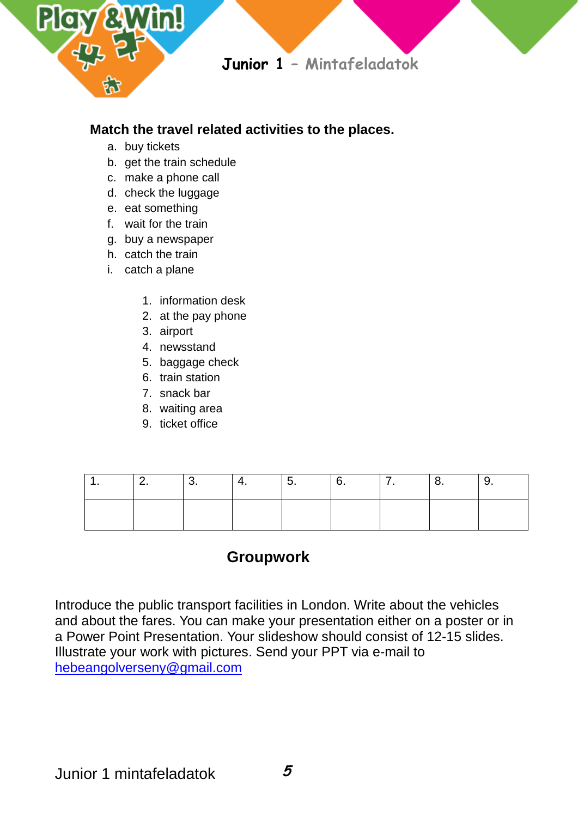

### **Match the travel related activities to the places.**

- a. buy tickets
- b. get the train schedule
- c. make a phone call
- d. check the luggage
- e. eat something
- f. wait for the train
- g. buy a newspaper
- h. catch the train
- i. catch a plane
	- 1. information desk
	- 2. at the pay phone
	- 3. airport
	- 4. newsstand
	- 5. baggage check
	- 6. train station
	- 7. snack bar
	- 8. waiting area
	- 9. ticket office

|  | <br>. . | J. | J. | . . | . . |
|--|---------|----|----|-----|-----|
|  |         |    |    |     |     |

# **Groupwork**

Introduce the public transport facilities in London. Write about the vehicles and about the fares. You can make your presentation either on a poster or in a Power Point Presentation. Your slideshow should consist of 12-15 slides. Illustrate your work with pictures. Send your PPT via e-mail to [hebeangolverseny@gmail.com](mailto:hebeangolverseny@gmail.com)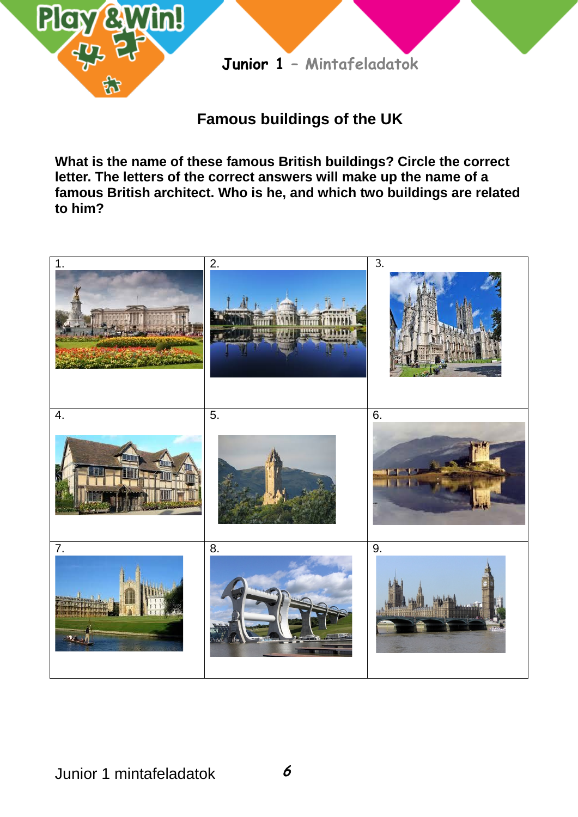

# **Famous buildings of the UK**

**What is the name of these famous British buildings? Circle the correct letter. The letters of the correct answers will make up the name of a famous British architect. Who is he, and which two buildings are related to him?**

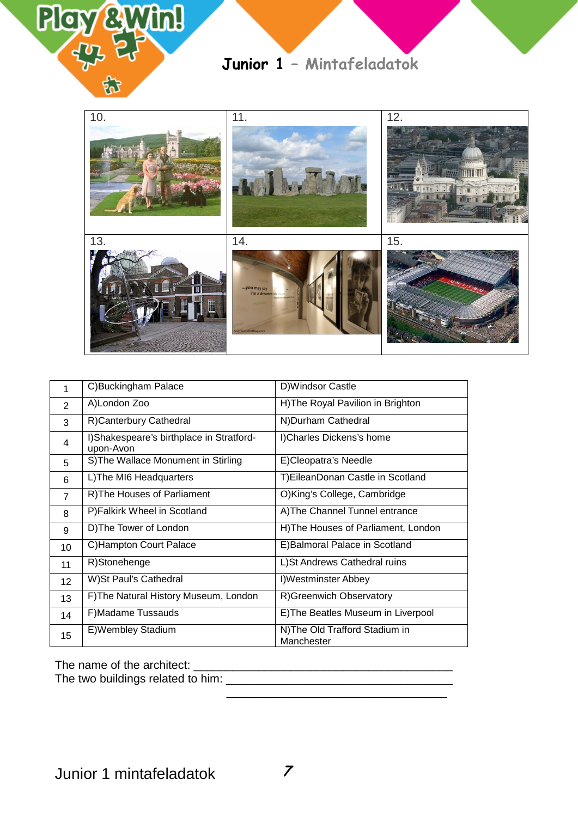



| 1               | C)Buckingham Palace                                   | D)Windsor Castle                            |
|-----------------|-------------------------------------------------------|---------------------------------------------|
| 2               | A)London Zoo                                          | H)The Royal Pavilion in Brighton            |
| 3               | R)Canterbury Cathedral                                | N) Durham Cathedral                         |
| 4               | I)Shakespeare's birthplace in Stratford-<br>upon-Avon | I)Charles Dickens's home                    |
| 5               | S) The Wallace Monument in Stirling                   | E)Cleopatra's Needle                        |
| 6               | L) The MI6 Headquarters                               | T) Eilean Donan Castle in Scotland          |
| $\overline{7}$  | R) The Houses of Parliament                           | O)King's College, Cambridge                 |
| 8               | P)Falkirk Wheel in Scotland                           | A) The Channel Tunnel entrance              |
| 9               | D) The Tower of London                                | H)The Houses of Parliament, London          |
| 10              | C) Hampton Court Palace                               | E) Balmoral Palace in Scotland              |
| 11              | R)Stonehenge                                          | L) St Andrews Cathedral ruins               |
| 12 <sup>2</sup> | W)St Paul's Cathedral                                 | I)Westminster Abbey                         |
| 13              | F) The Natural History Museum, London                 | R)Greenwich Observatory                     |
| 14              | F) Madame Tussauds                                    | E) The Beatles Museum in Liverpool          |
| 15              | E) Wembley Stadium                                    | N)The Old Trafford Stadium in<br>Manchester |

 $\overline{\phantom{a}}$  ,  $\overline{\phantom{a}}$  ,  $\overline{\phantom{a}}$  ,  $\overline{\phantom{a}}$  ,  $\overline{\phantom{a}}$  ,  $\overline{\phantom{a}}$  ,  $\overline{\phantom{a}}$  ,  $\overline{\phantom{a}}$  ,  $\overline{\phantom{a}}$  ,  $\overline{\phantom{a}}$  ,  $\overline{\phantom{a}}$  ,  $\overline{\phantom{a}}$  ,  $\overline{\phantom{a}}$  ,  $\overline{\phantom{a}}$  ,  $\overline{\phantom{a}}$  ,  $\overline{\phantom{a}}$ 

The name of the architect: \_\_\_\_\_\_\_\_\_\_\_\_\_\_\_\_\_\_\_\_\_\_\_\_\_\_\_\_\_\_\_\_\_\_\_\_\_\_\_\_

The two buildings related to him: \_\_\_\_\_\_\_\_\_\_\_\_\_\_\_\_\_\_\_\_\_\_\_\_\_\_\_\_\_\_\_\_\_\_\_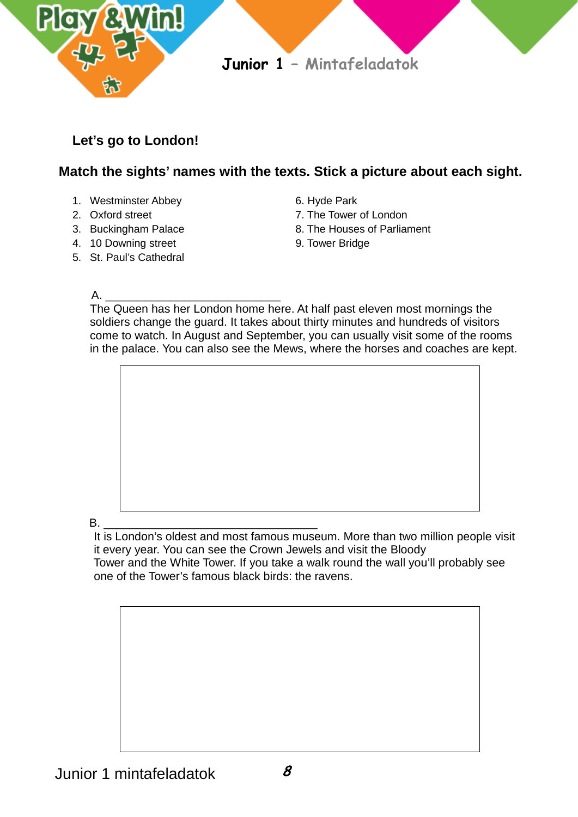

# **Let's go to London!**

## **Match the sights' names with the texts. Stick a picture about each sight.**

- 1. Westminster Abbey 6. Hyde Park
- 
- 
- 4. 10 Downing street 9. Tower Bridge
- 5. St. Paul's Cathedral
- 
- 2. Oxford street 7. The Tower of London
- 3. Buckingham Palace 8. The Houses of Parliament
	-

#### A. \_\_\_\_\_\_\_\_\_\_\_\_\_\_\_\_\_\_\_\_\_\_\_\_\_\_\_

The Queen has her London home here. At half past eleven most mornings the soldiers change the guard. It takes about thirty minutes and hundreds of visitors come to watch. In August and September, you can usually visit some of the rooms in the palace. You can also see the Mews, where the horses and coaches are kept.



 It is London's oldest and most famous museum. More than two million people visit it every year. You can see the Crown Jewels and visit the Bloody Tower and the White Tower. If you take a walk round the wall you'll probably see one of the Tower's famous black birds: the ravens.

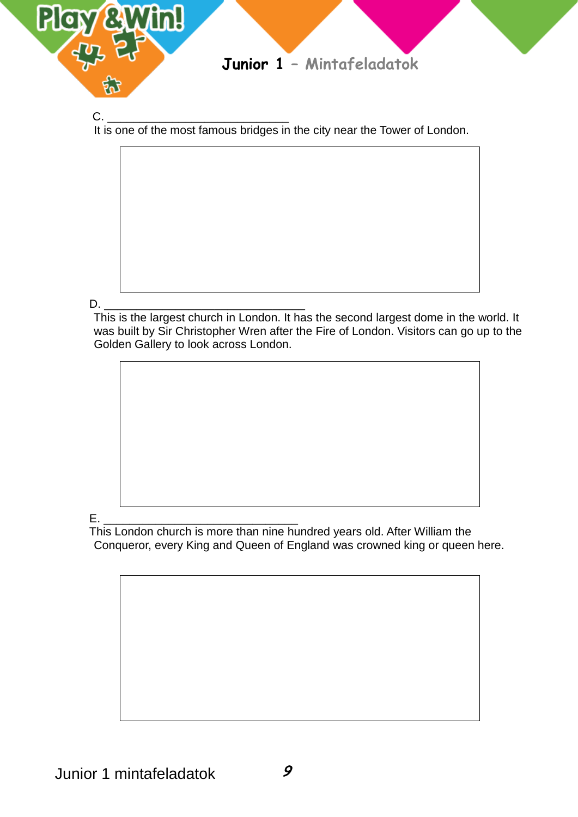

C. \_\_\_\_\_\_\_\_\_\_\_\_\_\_\_\_\_\_\_\_\_\_\_\_\_\_\_\_ It is one of the most famous bridges in the city near the Tower of London.



D. \_\_\_\_\_\_\_\_\_\_\_\_\_\_\_\_\_\_\_\_\_\_\_\_\_\_\_\_\_\_\_ This is the largest church in London. It has the second largest dome in the world. It was built by Sir Christopher Wren after the Fire of London. Visitors can go up to the Golden Gallery to look across London.



E. \_\_\_\_\_\_\_\_\_\_\_\_\_\_\_\_\_\_\_\_\_\_\_\_\_\_\_\_\_\_ This London church is more than nine hundred years old. After William the Conqueror, every King and Queen of England was crowned king or queen here.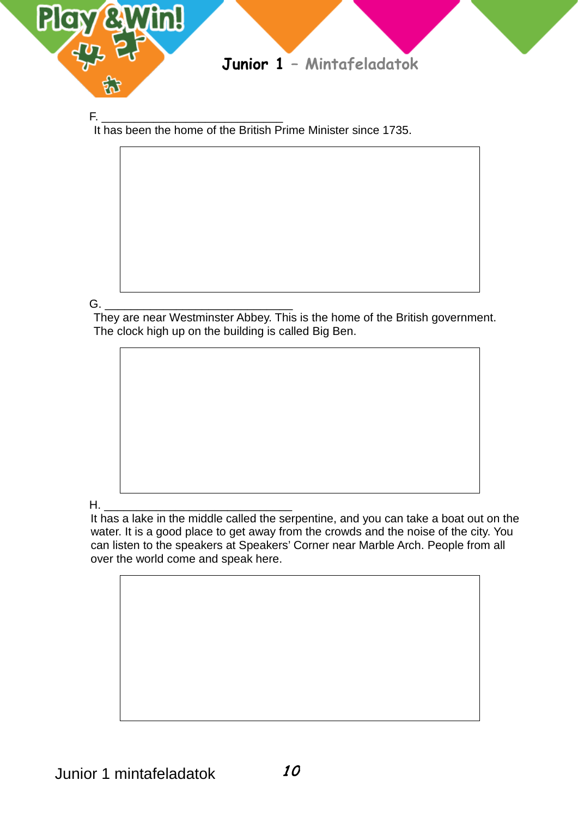

F. \_\_\_\_\_\_\_\_\_\_\_\_\_\_\_\_\_\_\_\_\_\_\_\_\_\_\_\_ It has been the home of the British Prime Minister since 1735.

G. \_\_\_\_\_\_\_\_\_\_\_\_\_\_\_\_\_\_\_\_\_\_\_\_\_\_\_\_\_ They are near Westminster Abbey. This is the home of the British government. The clock high up on the building is called Big Ben.

H. \_\_\_\_\_\_\_\_\_\_\_\_\_\_\_\_\_\_\_\_\_\_\_\_\_\_\_\_\_ It has a lake in the middle called the serpentine, and you can take a boat out on the water. It is a good place to get away from the crowds and the noise of the city. You can listen to the speakers at Speakers' Corner near Marble Arch. People from all over the world come and speak here.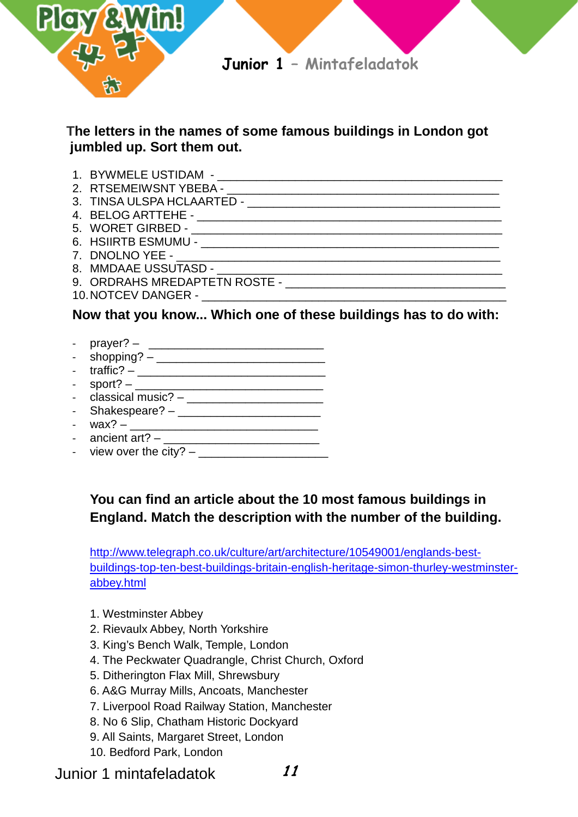

 $\mathcal{F}_\text{max}$  -  $\mathcal{F}_\text{max}$  -  $\mathcal{F}_\text{max}$  -  $\mathcal{F}_\text{max}$  -  $\mathcal{F}_\text{max}$  -  $\mathcal{F}_\text{max}$ 

### **The letters in the names of some famous buildings in London got jumbled up. Sort them out.**

- 1. BYWMELE USTIDAM \_\_\_\_\_\_\_\_\_\_\_\_\_\_\_\_\_\_\_\_\_\_\_\_\_\_\_\_\_\_\_\_\_\_\_\_\_\_\_\_\_\_\_\_
- 2. RTSEMEIWSNT YBEBA \_\_\_\_\_\_\_\_\_\_\_\_\_\_\_\_\_\_\_\_\_\_\_\_\_\_\_\_\_\_\_\_\_\_\_\_\_\_\_\_\_\_
- 3. TINSA ULSPA HCLAARTED -
- 4. BELOG ARTTEHE \_\_\_\_\_\_\_\_\_\_\_\_\_\_\_\_\_\_\_\_\_\_\_\_\_\_\_\_\_\_\_\_\_\_\_\_\_\_\_\_\_\_\_\_\_\_\_
- 5. WORET GIRBED \_\_\_\_\_\_\_\_\_\_\_\_\_\_\_\_\_\_\_\_\_\_\_\_\_\_\_\_\_\_\_\_\_\_\_\_\_\_\_\_\_\_\_\_\_\_\_\_
- 6. HSIIRTB ESMUMU \_\_\_\_\_\_\_\_\_\_\_\_\_\_\_\_\_\_\_\_\_\_\_\_\_\_\_\_\_\_\_\_\_\_\_\_\_\_\_\_\_\_\_\_\_\_
- 
- 8. MMDAAE USSUTASD -
- 9. ORDRAHS MREDAPTETN ROSTE -
- 10.NOTCEV DANGER \_\_\_\_\_\_\_\_\_\_\_\_\_\_\_\_\_\_\_\_\_\_\_\_\_\_\_\_\_\_\_\_\_\_\_\_\_\_\_\_\_\_\_\_\_\_\_

### **Now that you know... Which one of these buildings has to do with:**

- prayer? \_\_\_\_\_\_\_\_\_\_\_\_\_\_\_\_\_\_\_\_\_\_\_\_\_\_\_
- $\sup_{x \in \mathbb{R}}$  shopping?  $-$
- traffic? \_\_\_\_\_\_\_\_\_\_\_\_\_\_\_\_\_\_\_\_\_\_\_\_\_\_\_\_\_
- sport? \_\_\_\_\_\_\_\_\_\_\_\_\_\_\_\_\_\_\_\_\_\_\_\_\_\_\_\_\_
- $classical music? \_$
- Shakespeare? - wax? – \_\_\_\_\_\_\_\_\_\_\_\_\_\_\_\_\_\_\_\_\_\_\_\_\_\_\_\_\_
- 
- ancient art? \_\_\_\_\_\_\_\_\_\_\_\_\_\_\_\_\_\_\_\_\_\_\_\_ - view over the city?  $-$

# **You can find an article about the 10 most famous buildings in England. Match the description with the number of the building.**

[http://www.telegraph.co.uk/culture/art/architecture/10549001/englands-best](http://www.telegraph.co.uk/culture/art/architecture/10549001/englands-best-buildings-top-ten-best-buildings-britain-english-heritage-simon-thurley-westminster-abbey.html)[buildings-top-ten-best-buildings-britain-english-heritage-simon-thurley-westminster](http://www.telegraph.co.uk/culture/art/architecture/10549001/englands-best-buildings-top-ten-best-buildings-britain-english-heritage-simon-thurley-westminster-abbey.html)[abbey.html](http://www.telegraph.co.uk/culture/art/architecture/10549001/englands-best-buildings-top-ten-best-buildings-britain-english-heritage-simon-thurley-westminster-abbey.html)

- 1. Westminster Abbey
- 2. Rievaulx Abbey, North Yorkshire
- 3. King's Bench Walk, Temple, London
- 4. The Peckwater Quadrangle, Christ Church, Oxford
- 5. Ditherington Flax Mill, Shrewsbury
- 6. A&G Murray Mills, Ancoats, Manchester
- 7. Liverpool Road Railway Station, Manchester
- 8. No 6 Slip, Chatham Historic Dockyard
- 9. All Saints, Margaret Street, London
- 10. Bedford Park, London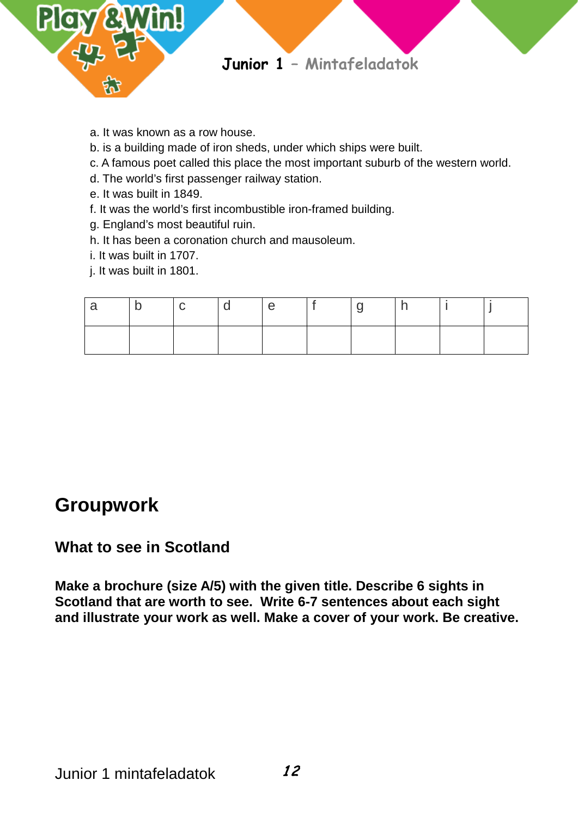

- a. It was known as a row house.
- b. is a building made of iron sheds, under which ships were built.
- c. A famous poet called this place the most important suburb of the western world.
- d. The world's first passenger railway station.
- e. It was built in 1849.
- f. It was the world's first incombustible iron-framed building.
- g. England's most beautiful ruin.
- h. It has been a coronation church and mausoleum.
- i. It was built in 1707.
- j. It was built in 1801.

| ∣ D | $\overline{C}$ | $\overline{\mathsf{d}}$ | e e | l 9 |  |  |
|-----|----------------|-------------------------|-----|-----|--|--|
|     |                |                         |     |     |  |  |

# **Groupwork**

# **What to see in Scotland**

**Make a brochure (size A/5) with the given title. Describe 6 sights in Scotland that are worth to see. Write 6-7 sentences about each sight and illustrate your work as well. Make a cover of your work. Be creative.**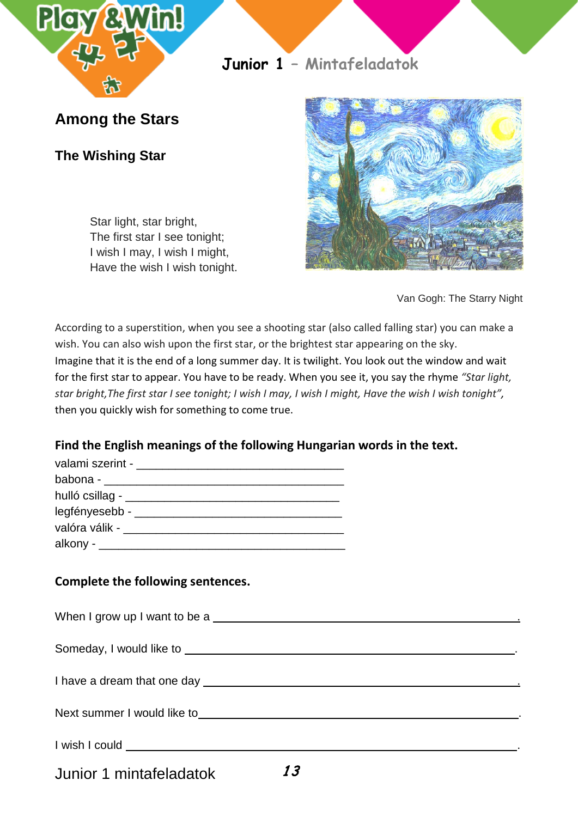

**Among the Stars**

**The Wishing Star**

Star light, star bright, The first star I see tonight; I wish I may, I wish I might, Have the wish I wish tonight.



Van Gogh: The Starry Night

According to a superstition, when you see a shooting star (also called falling star) you can make a wish. You can also wish upon the first star, or the brightest star appearing on the sky. Imagine that it is the end of a long summer day. It is twilight. You look out the window and wait for the first star to appear. You have to be ready. When you see it, you say the rhyme *"Star light, star bright,The first star I see tonight; I wish I may, I wish I might, Have the wish I wish tonight",* then you quickly wish for something to come true.

### **Find the English meanings of the following Hungarian words in the text.**

| babona - _________________________                                                                            |  |
|---------------------------------------------------------------------------------------------------------------|--|
| hulló csillag - _________________                                                                             |  |
| legfényesebb - ______________                                                                                 |  |
| valóra válik - valóra válik - valóra válik - valóra válik - valóra válik - valóra valóra valóra valóra valóra |  |
|                                                                                                               |  |

### **Complete the following sentences.**

When I grow up I want to be a ...

Someday, I would like to .

I have a dream that one day .

Next summer I would like to .

I wish I could .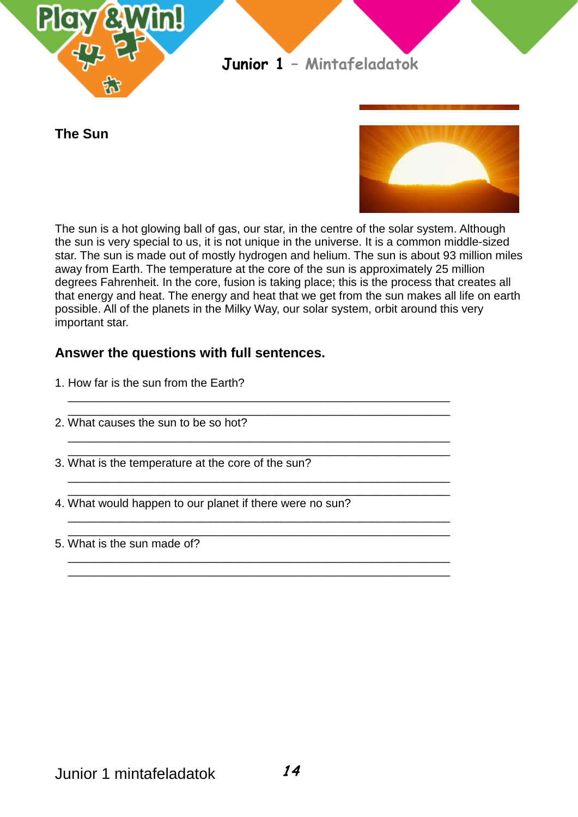

**The Sun**



The sun is a hot glowing ball of gas, our star, in the centre of the solar system. Although the sun is very special to us, it is not unique in the universe. It is a common middle-sized star. The sun is made out of mostly hydrogen and helium. The sun is about 93 million miles away from Earth. The temperature at the core of the sun is approximately 25 million degrees Fahrenheit. In the core, fusion is taking place; this is the process that creates all that energy and heat. The energy and heat that we get from the sun makes all life on earth possible. All of the planets in the Milky Way, our solar system, orbit around this very important star.

### **Answer the questions with full sentences.**

| 1. How far is the sun from the Earth? |  |
|---------------------------------------|--|
|                                       |  |
|                                       |  |

- 2. What causes the sun to be so hot?
- \_\_\_\_\_\_\_\_\_\_\_\_\_\_\_\_\_\_\_\_\_\_\_\_\_\_\_\_\_\_\_\_\_\_\_\_\_\_\_\_\_\_\_\_\_\_\_\_\_\_\_\_\_\_\_\_\_\_\_ 3. What is the temperature at the core of the sun?
- \_\_\_\_\_\_\_\_\_\_\_\_\_\_\_\_\_\_\_\_\_\_\_\_\_\_\_\_\_\_\_\_\_\_\_\_\_\_\_\_\_\_\_\_\_\_\_\_\_\_\_\_\_\_\_\_\_\_\_ 4. What would happen to our planet if there were no sun?

 $\overline{\phantom{a}}$  , and the contract of the contract of the contract of the contract of the contract of the contract of the contract of the contract of the contract of the contract of the contract of the contract of the contrac

 $\overline{\phantom{a}}$  , and the contract of the contract of the contract of the contract of the contract of the contract of the contract of the contract of the contract of the contract of the contract of the contract of the contrac

 $\overline{\phantom{a}}$  , and the contract of the contract of the contract of the contract of the contract of the contract of the contract of the contract of the contract of the contract of the contract of the contract of the contrac

 $\overline{\phantom{a}}$  , and the contract of the contract of the contract of the contract of the contract of the contract of the contract of the contract of the contract of the contract of the contract of the contract of the contrac  $\overline{\phantom{a}}$  , and the contract of the contract of the contract of the contract of the contract of the contract of the contract of the contract of the contract of the contract of the contract of the contract of the contrac

 \_\_\_\_\_\_\_\_\_\_\_\_\_\_\_\_\_\_\_\_\_\_\_\_\_\_\_\_\_\_\_\_\_\_\_\_\_\_\_\_\_\_\_\_\_\_\_\_\_\_\_\_\_\_\_\_\_\_\_ 5. What is the sun made of?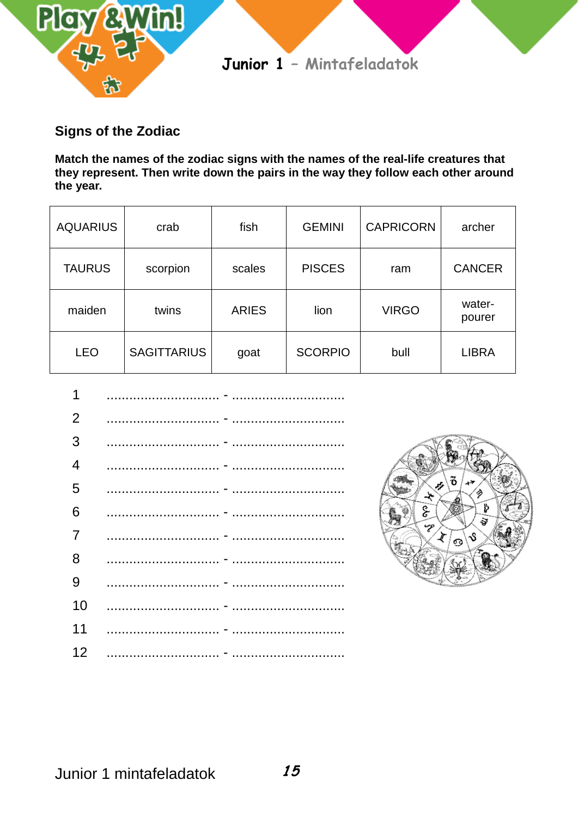

### **Signs of the Zodiac**

**Match the names of the zodiac signs with the names of the real-life creatures that they represent. Then write down the pairs in the way they follow each other around the year.**

| <b>AQUARIUS</b> | crab               | fish         | <b>GEMINI</b>  | <b>CAPRICORN</b> | archer           |
|-----------------|--------------------|--------------|----------------|------------------|------------------|
| <b>TAURUS</b>   | scorpion           | scales       | <b>PISCES</b>  | ram              | <b>CANCER</b>    |
| maiden          | twins              | <b>ARIES</b> | lion           | <b>VIRGO</b>     | water-<br>pourer |
| <b>LEO</b>      | <b>SAGITTARIUS</b> | goat         | <b>SCORPIO</b> | bull             | <b>LIBRA</b>     |



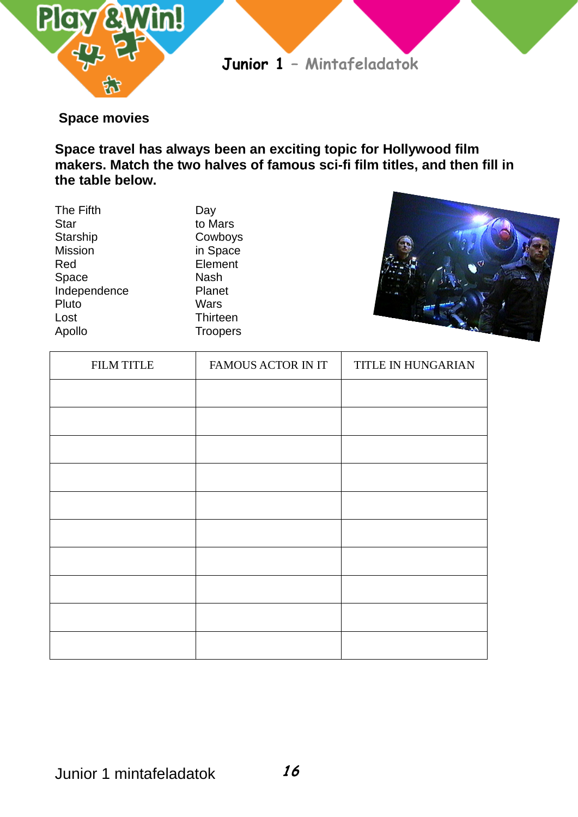

### **Space movies**

**Space travel has always been an exciting topic for Hollywood film makers. Match the two halves of famous sci-fi film titles, and then fill in the table below.**

| The Fifth      | Day             |
|----------------|-----------------|
| <b>Star</b>    | to Mars         |
| Starship       | Cowboys         |
| <b>Mission</b> | in Space        |
| Red            | Element         |
| Space          | <b>Nash</b>     |
| Independence   | Planet          |
| Pluto          | Wars            |
| Lost           | <b>Thirteen</b> |
| Apollo         | <b>Troopers</b> |
|                |                 |



| <b>FILM TITLE</b> | FAMOUS ACTOR IN IT | TITLE IN HUNGARIAN |
|-------------------|--------------------|--------------------|
|                   |                    |                    |
|                   |                    |                    |
|                   |                    |                    |
|                   |                    |                    |
|                   |                    |                    |
|                   |                    |                    |
|                   |                    |                    |
|                   |                    |                    |
|                   |                    |                    |
|                   |                    |                    |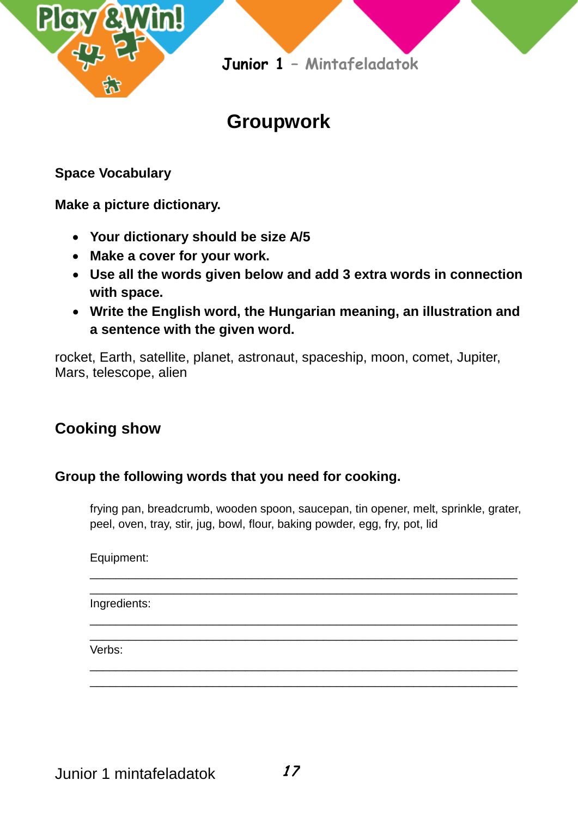

# **Groupwork**

**Space Vocabulary**

**Make a picture dictionary.**

- **Your dictionary should be size A/5**
- **Make a cover for your work.**
- **Use all the words given below and add 3 extra words in connection with space.**
- **Write the English word, the Hungarian meaning, an illustration and a sentence with the given word.**

rocket, Earth, satellite, planet, astronaut, spaceship, moon, comet, Jupiter, Mars, telescope, alien

# **Cooking show**

### **Group the following words that you need for cooking.**

frying pan, breadcrumb, wooden spoon, saucepan, tin opener, melt, sprinkle, grater, peel, oven, tray, stir, jug, bowl, flour, baking powder, egg, fry, pot, lid

\_\_\_\_\_\_\_\_\_\_\_\_\_\_\_\_\_\_\_\_\_\_\_\_\_\_\_\_\_\_\_\_\_\_\_\_\_\_\_\_\_\_\_\_\_\_\_\_\_\_\_\_\_\_\_\_\_\_\_\_\_\_\_\_\_\_ \_\_\_\_\_\_\_\_\_\_\_\_\_\_\_\_\_\_\_\_\_\_\_\_\_\_\_\_\_\_\_\_\_\_\_\_\_\_\_\_\_\_\_\_\_\_\_\_\_\_\_\_\_\_\_\_\_\_\_\_\_\_\_\_\_\_

\_\_\_\_\_\_\_\_\_\_\_\_\_\_\_\_\_\_\_\_\_\_\_\_\_\_\_\_\_\_\_\_\_\_\_\_\_\_\_\_\_\_\_\_\_\_\_\_\_\_\_\_\_\_\_\_\_\_\_\_\_\_\_\_\_\_ \_\_\_\_\_\_\_\_\_\_\_\_\_\_\_\_\_\_\_\_\_\_\_\_\_\_\_\_\_\_\_\_\_\_\_\_\_\_\_\_\_\_\_\_\_\_\_\_\_\_\_\_\_\_\_\_\_\_\_\_\_\_\_\_\_\_

\_\_\_\_\_\_\_\_\_\_\_\_\_\_\_\_\_\_\_\_\_\_\_\_\_\_\_\_\_\_\_\_\_\_\_\_\_\_\_\_\_\_\_\_\_\_\_\_\_\_\_\_\_\_\_\_\_\_\_\_\_\_\_\_\_\_ \_\_\_\_\_\_\_\_\_\_\_\_\_\_\_\_\_\_\_\_\_\_\_\_\_\_\_\_\_\_\_\_\_\_\_\_\_\_\_\_\_\_\_\_\_\_\_\_\_\_\_\_\_\_\_\_\_\_\_\_\_\_\_\_\_\_

Equipment:

Ingredients:

Verbs: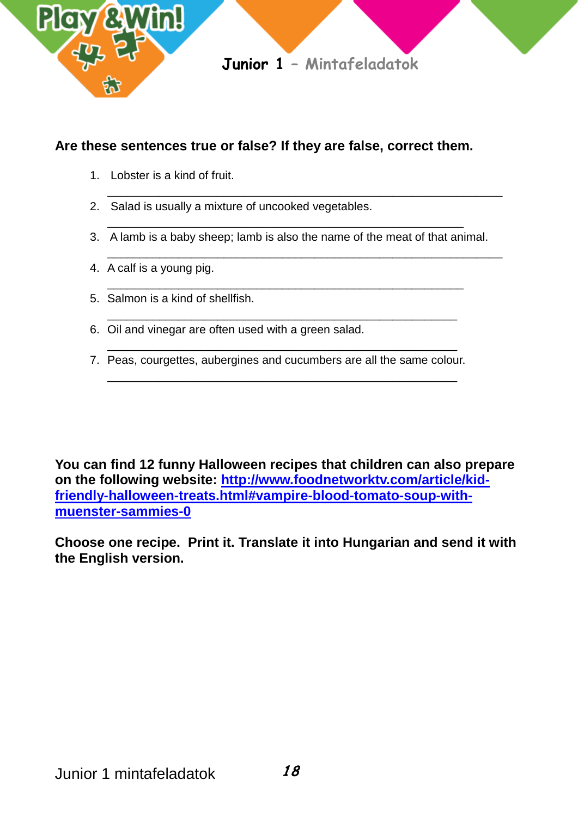

### **Are these sentences true or false? If they are false, correct them.**

- 1. Lobster is a kind of fruit.
- 2. Salad is usually a mixture of uncooked vegetables.
- \_\_\_\_\_\_\_\_\_\_\_\_\_\_\_\_\_\_\_\_\_\_\_\_\_\_\_\_\_\_\_\_\_\_\_\_\_\_\_\_\_\_\_\_\_\_\_\_\_\_\_\_\_\_\_ 3. A lamb is a baby sheep; lamb is also the name of the meat of that animal.

\_\_\_\_\_\_\_\_\_\_\_\_\_\_\_\_\_\_\_\_\_\_\_\_\_\_\_\_\_\_\_\_\_\_\_\_\_\_\_\_\_\_\_\_\_\_\_\_\_\_\_\_\_\_\_

\_\_\_\_\_\_\_\_\_\_\_\_\_\_\_\_\_\_\_\_\_\_\_\_\_\_\_\_\_\_\_\_\_\_\_\_\_\_\_\_\_\_\_\_\_\_\_\_\_\_\_\_\_\_

\_\_\_\_\_\_\_\_\_\_\_\_\_\_\_\_\_\_\_\_\_\_\_\_\_\_\_\_\_\_\_\_\_\_\_\_\_\_\_\_\_\_\_\_\_\_\_\_\_\_\_\_\_\_\_\_\_\_\_\_\_

\_\_\_\_\_\_\_\_\_\_\_\_\_\_\_\_\_\_\_\_\_\_\_\_\_\_\_\_\_\_\_\_\_\_\_\_\_\_\_\_\_\_\_\_\_\_\_\_\_\_\_\_\_\_\_\_\_\_\_\_\_

- 4. A calf is a young pig.
- 5. Salmon is a kind of shellfish.
- 6. Oil and vinegar are often used with a green salad.
- \_\_\_\_\_\_\_\_\_\_\_\_\_\_\_\_\_\_\_\_\_\_\_\_\_\_\_\_\_\_\_\_\_\_\_\_\_\_\_\_\_\_\_\_\_\_\_\_\_\_\_\_\_\_ 7. Peas, courgettes, aubergines and cucumbers are all the same colour. \_\_\_\_\_\_\_\_\_\_\_\_\_\_\_\_\_\_\_\_\_\_\_\_\_\_\_\_\_\_\_\_\_\_\_\_\_\_\_\_\_\_\_\_\_\_\_\_\_\_\_\_\_\_

**You can find 12 funny Halloween recipes that children can also prepare on the following website: [http://www.foodnetworktv.com/article/kid](http://www.foodnetworktv.com/article/kid-friendly-halloween-treats.html#vampire-blood-tomato-soup-with-muenster-sammies-0)[friendly-halloween-treats.html#vampire-blood-tomato-soup-with](http://www.foodnetworktv.com/article/kid-friendly-halloween-treats.html#vampire-blood-tomato-soup-with-muenster-sammies-0)[muenster-sammies-0](http://www.foodnetworktv.com/article/kid-friendly-halloween-treats.html#vampire-blood-tomato-soup-with-muenster-sammies-0)**

**Choose one recipe. Print it. Translate it into Hungarian and send it with the English version.**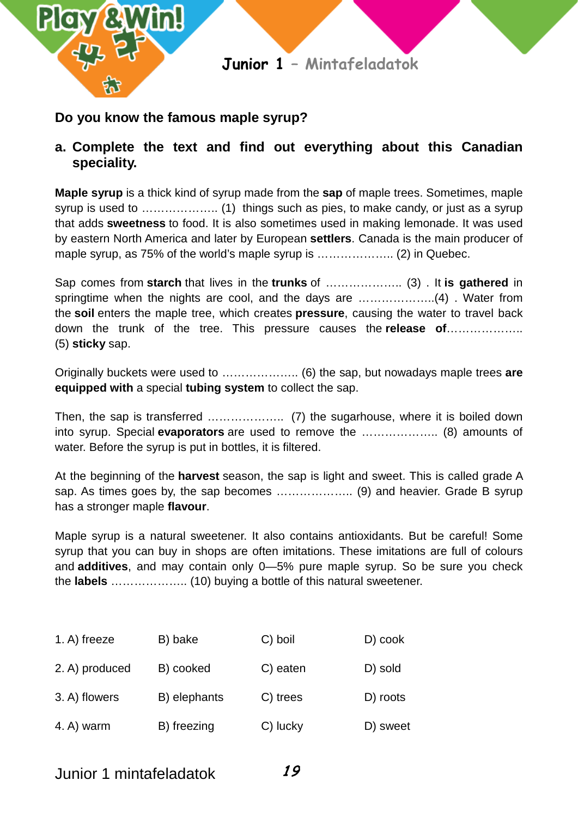

### **Do you know the famous maple syrup?**

### **a. Complete the text and find out everything about this Canadian speciality.**

**Maple syrup** is a thick kind of syrup made from the **sap** of maple trees. Sometimes, maple syrup is used to ……………….. (1) things such as pies, to make candy, or just as a syrup that adds **sweetness** to food. It is also sometimes used in making lemonade. It was used by eastern North America and later by European **settlers**. Canada is the main producer of maple syrup, as 75% of the world's maple syrup is ……………….. (2) in Quebec.

Sap comes from **starch** that lives in the **trunks** of ……………….. (3) . It **is gathered** in springtime when the nights are cool, and the days are ...........................(4). Water from the **soil** enters the maple tree, which creates **pressure**, causing the water to travel back down the trunk of the tree. This pressure causes the **release of**……………….. (5) **sticky** sap.

Originally buckets were used to ……………….. (6) the sap, but nowadays maple trees **are equipped with** a special **tubing system** to collect the sap.

Then, the sap is transferred ……………….. (7) the sugarhouse, where it is boiled down into syrup. Special **evaporators** are used to remove the ……………….. (8) amounts of water. Before the syrup is put in bottles, it is filtered.

At the beginning of the **harvest** season, the sap is light and sweet. This is called grade A sap. As times goes by, the sap becomes ……………….. (9) and heavier. Grade B syrup has a stronger maple **flavour**.

Maple syrup is a natural sweetener. It also contains antioxidants. But be careful! Some syrup that you can buy in shops are often imitations. These imitations are full of colours and **additives**, and may contain only 0—5% pure maple syrup. So be sure you check the **labels** ……………….. (10) buying a bottle of this natural sweetener.

| 1. A) freeze   | B) bake      | C) boil  | D) cook  |
|----------------|--------------|----------|----------|
| 2. A) produced | B) cooked    | C) eaten | D) sold  |
| 3. A) flowers  | B) elephants | C) trees | D) roots |
| 4. A) warm     | B) freezing  | C) lucky | D) sweet |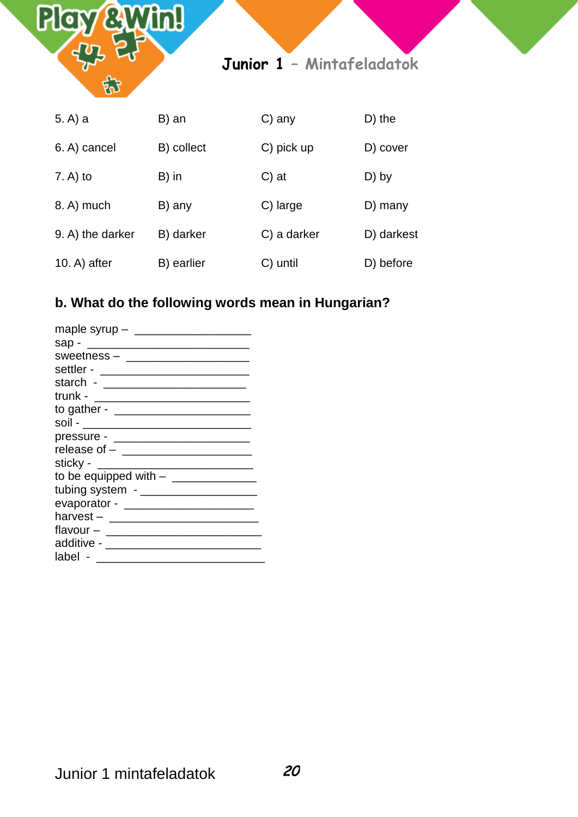

### **b. What do the following words mean in Hungarian?**

| sap -                                                                                                                                                                                                                                           |
|-------------------------------------------------------------------------------------------------------------------------------------------------------------------------------------------------------------------------------------------------|
| sweetness - ____________________                                                                                                                                                                                                                |
| settler -                                                                                                                                                                                                                                       |
|                                                                                                                                                                                                                                                 |
| trunk -<br><u> 1989 - Johann Harry Harry Harry Harry Harry Harry Harry Harry Harry Harry Harry Harry Harry Harry Harry Harry Harry Harry Harry Harry Harry Harry Harry Harry Harry Harry Harry Harry Harry Harry Harry Harry Harry Harry Ha</u> |
| to gather - __________________                                                                                                                                                                                                                  |
| soil - ______________________                                                                                                                                                                                                                   |
|                                                                                                                                                                                                                                                 |
|                                                                                                                                                                                                                                                 |
| sticky - _____________________                                                                                                                                                                                                                  |
|                                                                                                                                                                                                                                                 |
| tubing system - _____________________                                                                                                                                                                                                           |
|                                                                                                                                                                                                                                                 |
| harvest - ________________________                                                                                                                                                                                                              |
| flavour – ________________                                                                                                                                                                                                                      |
| additive - ______________                                                                                                                                                                                                                       |
| label                                                                                                                                                                                                                                           |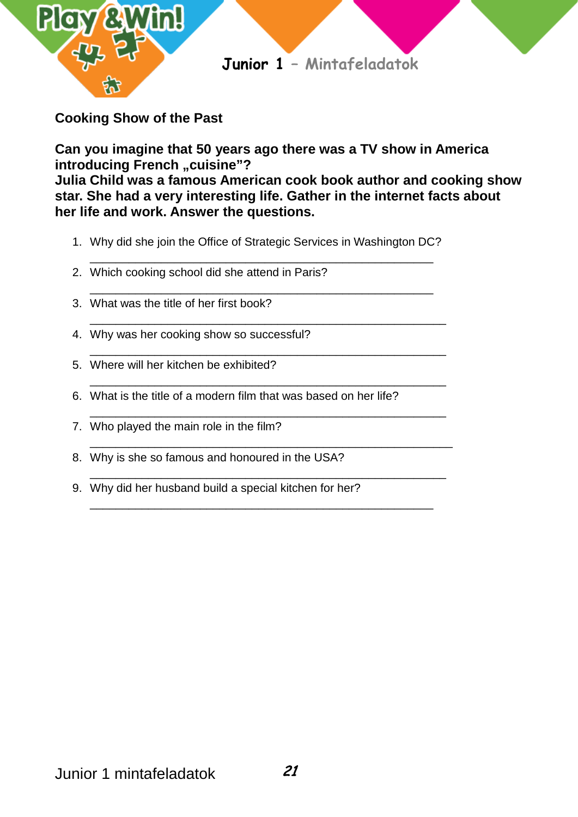

**Cooking Show of the Past**

**Can you imagine that 50 years ago there was a TV show in America introducing French ..cuisine"? Julia Child was a famous American cook book author and cooking show star. She had a very interesting life. Gather in the internet facts about her life and work. Answer the questions.** 

1. Why did she join the Office of Strategic Services in Washington DC?

\_\_\_\_\_\_\_\_\_\_\_\_\_\_\_\_\_\_\_\_\_\_\_\_\_\_\_\_\_\_\_\_\_\_\_\_\_\_\_\_\_\_\_\_\_\_\_\_\_\_\_\_\_

\_\_\_\_\_\_\_\_\_\_\_\_\_\_\_\_\_\_\_\_\_\_\_\_\_\_\_\_\_\_\_\_\_\_\_\_\_\_\_\_\_\_\_\_\_\_\_\_\_\_\_\_\_\_\_

\_\_\_\_\_\_\_\_\_\_\_\_\_\_\_\_\_\_\_\_\_\_\_\_\_\_\_\_\_\_\_\_\_\_\_\_\_\_\_\_\_\_\_\_\_\_\_\_\_\_\_\_\_\_\_

\_\_\_\_\_\_\_\_\_\_\_\_\_\_\_\_\_\_\_\_\_\_\_\_\_\_\_\_\_\_\_\_\_\_\_\_\_\_\_\_\_\_\_\_\_\_\_\_\_\_\_\_\_\_\_

\_\_\_\_\_\_\_\_\_\_\_\_\_\_\_\_\_\_\_\_\_\_\_\_\_\_\_\_\_\_\_\_\_\_\_\_\_\_\_\_\_\_\_\_\_\_\_\_\_\_\_\_\_\_\_

\_\_\_\_\_\_\_\_\_\_\_\_\_\_\_\_\_\_\_\_\_\_\_\_\_\_\_\_\_\_\_\_\_\_\_\_\_\_\_\_\_\_\_\_\_\_\_\_\_\_\_\_\_\_\_\_

\_\_\_\_\_\_\_\_\_\_\_\_\_\_\_\_\_\_\_\_\_\_\_\_\_\_\_\_\_\_\_\_\_\_\_\_\_\_\_\_\_\_\_\_\_\_\_\_\_\_\_\_\_\_\_

\_\_\_\_\_\_\_\_\_\_\_\_\_\_\_\_\_\_\_\_\_\_\_\_\_\_\_\_\_\_\_\_\_\_\_\_\_\_\_\_\_\_\_\_\_\_\_\_\_\_\_\_\_

- \_\_\_\_\_\_\_\_\_\_\_\_\_\_\_\_\_\_\_\_\_\_\_\_\_\_\_\_\_\_\_\_\_\_\_\_\_\_\_\_\_\_\_\_\_\_\_\_\_\_\_\_\_ 2. Which cooking school did she attend in Paris?
- 3. What was the title of her first book?
- 4. Why was her cooking show so successful?
- 5. Where will her kitchen be exhibited?
- 6. What is the title of a modern film that was based on her life?
- 7. Who played the main role in the film?
- 8. Why is she so famous and honoured in the USA?
- 9. Why did her husband build a special kitchen for her?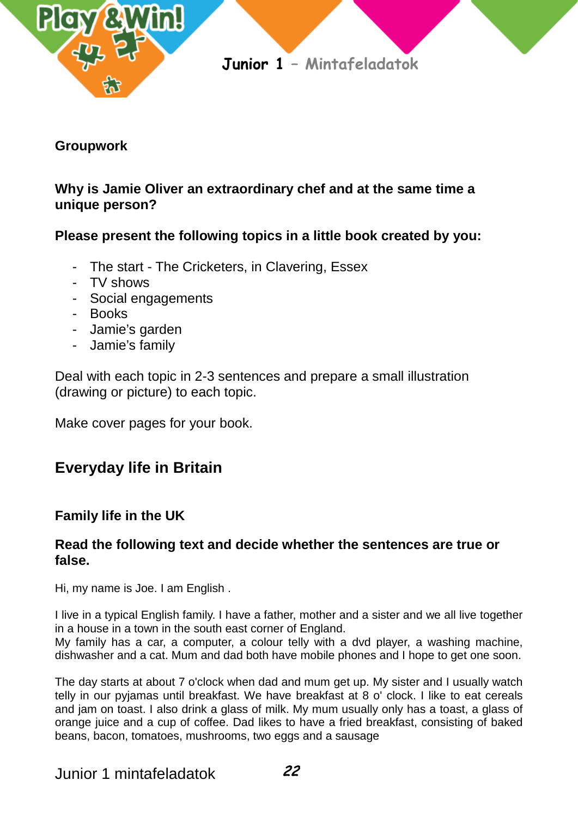

### **Groupwork**

### **Why is Jamie Oliver an extraordinary chef and at the same time a unique person?**

### **Please present the following topics in a little book created by you:**

- The start [The Cricketers,](http://www.thecricketers.co.uk/) in Clavering, Essex
- TV shows
- Social engagements
- Books
- Jamie's garden
- Jamie's family

Deal with each topic in 2-3 sentences and prepare a small illustration (drawing or picture) to each topic.

Make cover pages for your book.

# **Everyday life in Britain**

### **Family life in the UK**

### **Read the following text and decide whether the sentences are true or false.**

Hi, my name is Joe. I am English .

I live in a typical English family. I have a father, mother and a sister and we all live together in a house in a town in the south east corner of England.

My family has a car, a computer, a colour telly with a dvd player, a washing machine, dishwasher and a cat. Mum and dad both have mobile phones and I hope to get one soon.

The day starts at about 7 o'clock when dad and mum get up. My sister and I usually watch telly in our pyjamas until breakfast. We have breakfast at 8 o' clock. I like to eat cereals and jam on toast. I also drink a glass of milk. My mum usually only has a toast, a glass of orange juice and a cup of coffee. Dad likes to have a fried breakfast, consisting of baked beans, bacon, tomatoes, mushrooms, two eggs and a sausage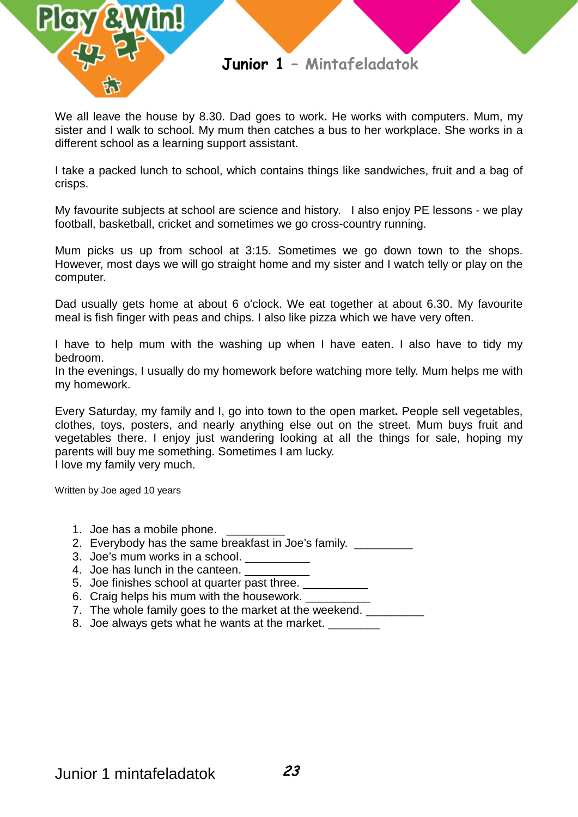

We all leave the house by 8.30. Dad goes to work**.** He works with computers. Mum, my sister and I walk to school. My mum then catches a bus to her workplace. She works in a different school as a learning support assistant.

I take a packed lunch to school, which contains things like sandwiches, fruit and a bag of crisps.

My favourite subjects at school are science and history. I also enjoy PE lessons - we play football, basketball, cricket and sometimes we go cross-country running.

Mum picks us up from school at 3:15. Sometimes we go down town to the shops. However, most days we will go straight home and my sister and I watch telly or play on the computer.

Dad usually gets home at about 6 o'clock. We eat together at about 6.30. My favourite meal is fish finger with peas and chips. I also like pizza which we have very often.

I have to help mum with the washing up when I have eaten. I also have to tidy my bedroom.

In the evenings, I usually do my homework before watching more telly. Mum helps me with my homework.

Every Saturday, my family and I, go into town to the open market**.** People sell vegetables, clothes, toys, posters, and nearly anything else out on the street. Mum buys fruit and vegetables there. I enjoy just wandering looking at all the things for sale, hoping my parents will buy me something. Sometimes I am lucky. I love my family very much.

Written by Joe aged 10 years

- 1. Joe has a mobile phone.
- 2. Everybody has the same breakfast in Joe's family.
- 3. Joe's mum works in a school.
- 4. Joe has lunch in the canteen.
- 5. Joe finishes school at quarter past three. \_\_\_\_\_\_\_\_\_
- 6. Craig helps his mum with the housework.
- 7. The whole family goes to the market at the weekend.
- 8. Joe always gets what he wants at the market.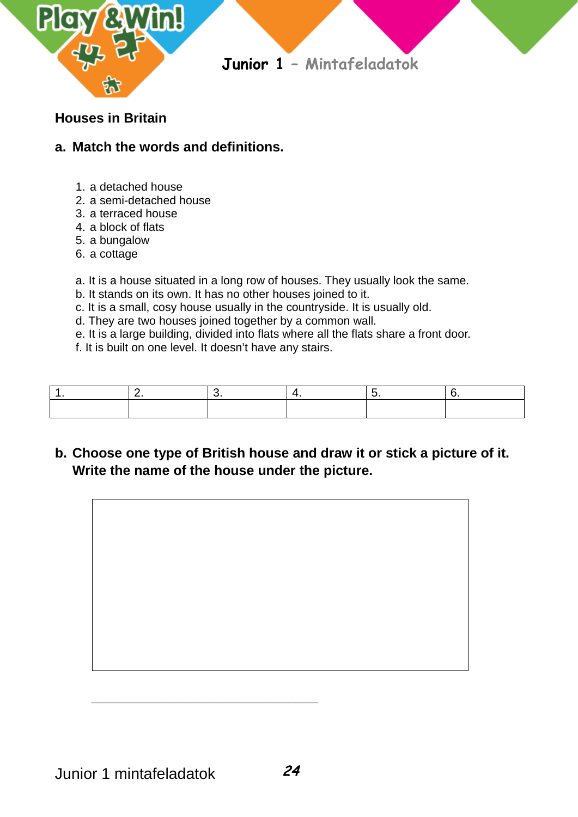

### **Houses in Britain**

### **a. Match the words and definitions.**

- 1. a detached house
- 2. a semi-detached house
- 3. a terraced house
- 4. a block of flats
- 5. a bungalow
- 6. a cottage

a. It is a house situated in a long row of houses. They usually look the same.

- b. It stands on its own. It has no other houses joined to it.
- c. It is a small, cosy house usually in the countryside. It is usually old.
- d. They are two houses joined together by a common wall.
- e. It is a large building, divided into flats where all the flats share a front door.
- f. It is built on one level. It doesn't have any stairs.

# **b. Choose one type of British house and draw it or stick a picture of it. Write the name of the house under the picture.**



 **\_\_\_\_\_\_\_\_\_\_\_\_\_\_\_\_\_\_\_\_\_\_\_\_\_\_\_\_\_\_**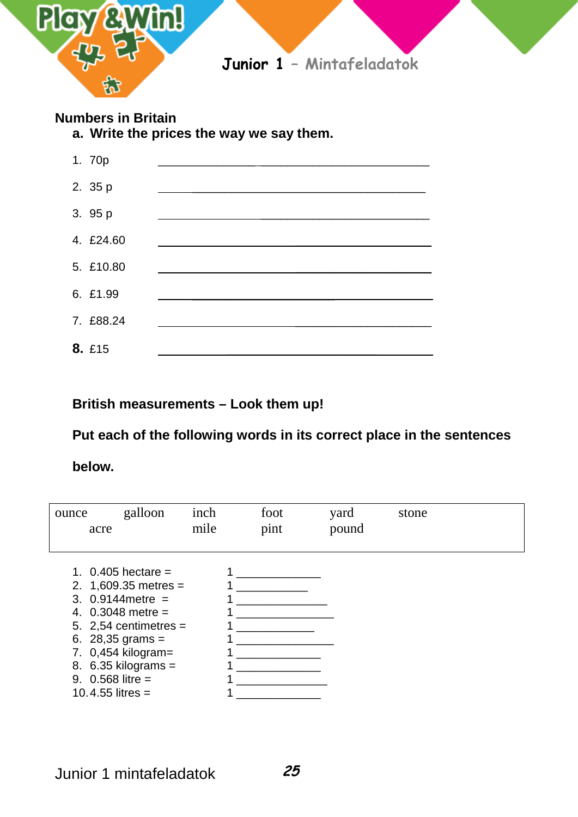

### **Numbers in Britain**

**a. Write the prices the way we say them.**



**British measurements – Look them up!**

**Put each of the following words in its correct place in the sentences** 

**below.**

| ounce<br>acre | galloon                                                                                                                                                                                                                                | inch<br>mile | foot<br>pint | yard<br>pound | stone |  |
|---------------|----------------------------------------------------------------------------------------------------------------------------------------------------------------------------------------------------------------------------------------|--------------|--------------|---------------|-------|--|
|               | 1. $0.405$ hectare =<br>2. $1,609.35$ metres =<br>3. $0.9144$ metre =<br>4. $0.3048$ metre =<br>5. 2,54 centimetres $=$<br>6. 28,35 grams =<br>7. 0,454 kilogram=<br>8. $6.35$ kilograms =<br>9. $0.568$ litre =<br>10.4.55 litres $=$ |              |              |               |       |  |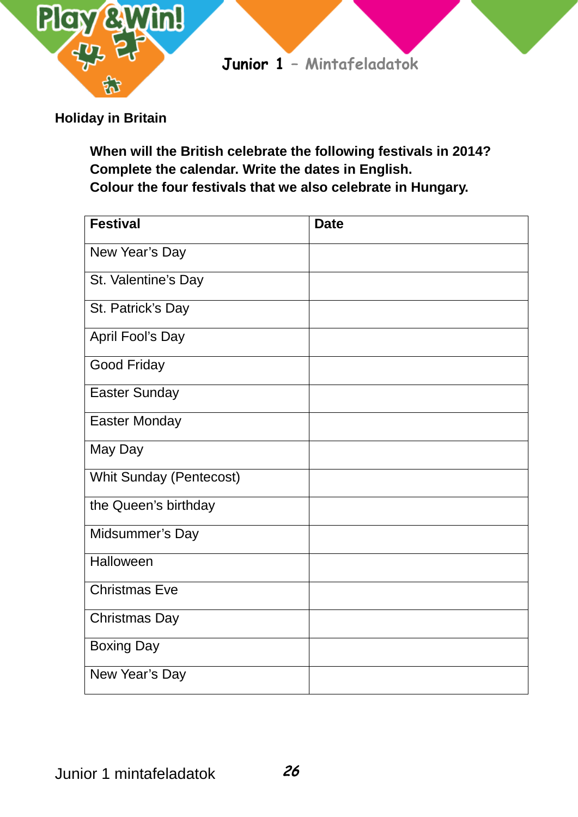

### **Holiday in Britain**

**When will the British celebrate the following festivals in 2014? Complete the calendar. Write the dates in English. Colour the four festivals that we also celebrate in Hungary.**

| <b>Festival</b>                | <b>Date</b> |
|--------------------------------|-------------|
| New Year's Day                 |             |
| St. Valentine's Day            |             |
| St. Patrick's Day              |             |
| April Fool's Day               |             |
| <b>Good Friday</b>             |             |
| <b>Easter Sunday</b>           |             |
| <b>Easter Monday</b>           |             |
| May Day                        |             |
| <b>Whit Sunday (Pentecost)</b> |             |
| the Queen's birthday           |             |
| Midsummer's Day                |             |
| Halloween                      |             |
| <b>Christmas Eve</b>           |             |
| <b>Christmas Day</b>           |             |
| <b>Boxing Day</b>              |             |
| New Year's Day                 |             |